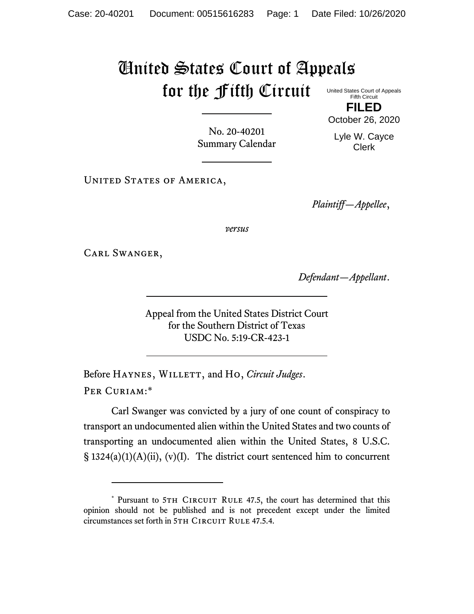## United States Court of Appeals for the Fifth Circuit United States Court of Appeals

Fifth Circuit **FILED**

October 26, 2020

No. 20-40201 Summary Calendar

Lyle W. Cayce Clerk

UNITED STATES OF AMERICA,

*Plaintiff—Appellee*,

*versus*

Carl Swanger,

*Defendant—Appellant*.

Appeal from the United States District Court for the Southern District of Texas USDC No. 5:19-CR-423-1

Before HAYNES, WILLETT, and Ho, *Circuit Judges*. Per Curiam:\*

Carl Swanger was convicted by a jury of one count of conspiracy to transport an undocumented alien within the United States and two counts of transporting an undocumented alien within the United States, 8 U.S.C.  $\S$  1324(a)(1)(A)(ii), (v)(I). The district court sentenced him to concurrent

<sup>\*</sup> Pursuant to 5TH CIRCUIT RULE 47.5, the court has determined that this opinion should not be published and is not precedent except under the limited circumstances set forth in 5TH CIRCUIT RULE 47.5.4.